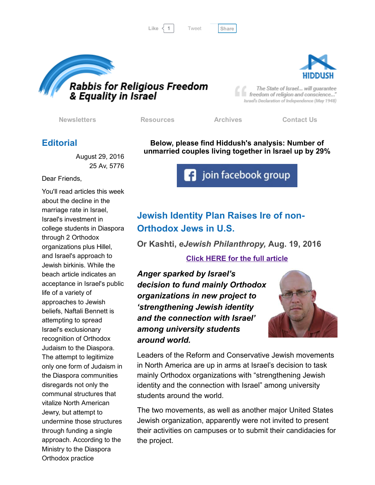

[Tweet](https://twitter.com/intent/tweet?original_referer=http%3A%2F%2Fhosted-p0.vresp.com%2F577764%2F898c0d392c%2FARCHIVE&ref_src=twsrc%5Etfw&text=Bulletin%3A%20Israel%20exporting%20its%20Judaism%20to%20Diaspora&tw_p=tweetbutton&url=http%3A%2F%2Fhosted-p0.vresp.com%2F577764%2F898c0d392c%2FARCHIVE%23.V8VYy9XdqcU.twitter)





The State of Israel... will guarantee freedom of religion and conscience..." Israel's Declaration of Independence (May 1948)

[Newsletters](http://rrfei.org/newsletters/) [Resources](http://rrfei.org/resources/) [Archives](http://rrfei.org/about/rrfei-archives/) [Contact](http://rrfei.org/contact-us/) Us

### **Editorial**

August 29, 2016 25 Av, 5776

Dear Friends,

You'll read articles this week about the decline in the marriage rate in Israel, Israel's investment in college students in Diaspora through 2 Orthodox organizations plus Hillel, and Israel's approach to Jewish birkinis. While the beach article indicates an acceptance in Israel's public life of a variety of approaches to Jewish beliefs, Naftali Bennett is attempting to spread Israel's exclusionary recognition of Orthodox Judaism to the Diaspora. The attempt to legitimize only one form of Judaism in the Diaspora communities disregards not only the communal structures that vitalize North American Jewry, but attempt to undermine those structures through funding a single approach. According to the Ministry to the Diaspora Orthodox practice

Below, please find Hiddush's analysis: Number of unmarried couples living together in Israel up by 29%

**f** join facebook group

# Jewish Identity Plan Raises Ire of non-Orthodox Jews in U.S.

Or Kashti, *eJewish Philanthropy,* Aug. 19, 2016

#### Click HERE for the full [article](http://ejewishphilanthropy.com/jewish-identity-plan-raises-ire-of-non-orthodox-jews-in-u-s/)

*Anger sparked by Israel's decision to fund mainly Orthodox organizations in new project to 'strengthening Jewish identity and the connection with Israel' among university students around world.*



Leaders of the Reform and Conservative Jewish movements in North America are up in arms at Israel's decision to task mainly Orthodox organizations with "strengthening Jewish identity and the connection with Israel" among university students around the world.

The two movements, as well as another major United States Jewish organization, apparently were not invited to present their activities on campuses or to submit their candidacies for the project.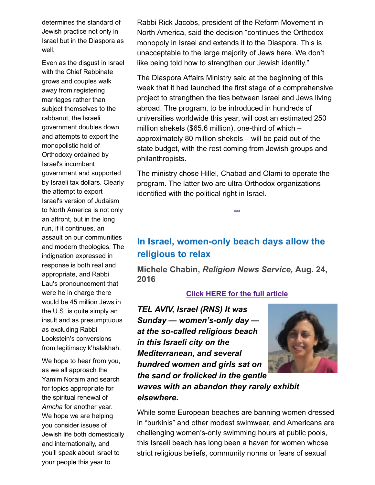determines the standard of Jewish practice not only in Israel but in the Diaspora as well.

Even as the disgust in Israel with the Chief Rabbinate grows and couples walk away from registering marriages rather than subject themselves to the rabbanut, the Israeli government doubles down and attempts to export the monopolistic hold of Orthodoxy ordained by Israel's incumbent government and supported by Israeli tax dollars. Clearly the attempt to export Israel's version of Judaism to North America is not only an affront, but in the long run, if it continues, an assault on our communities and modern theologies. The indignation expressed in response is both real and appropriate, and Rabbi Lau's pronouncement that were he in charge there would be 45 million Jews in the U.S. is quite simply an insult and as presumptuous as excluding Rabbi Lookstein's conversions from legitimacy k'halakhah.

We hope to hear from you, as we all approach the Yamim Noraim and search for topics appropriate for the spiritual renewal of *Amcha* for another year. We hope we are helping you consider issues of Jewish life both domestically and internationally, and you'll speak about Israel to your people this year to

Rabbi Rick Jacobs, president of the Reform Movement in North America, said the decision "continues the Orthodox monopoly in Israel and extends it to the Diaspora. This is unacceptable to the large majority of Jews here. We don't like being told how to strengthen our Jewish identity."

The Diaspora Affairs Ministry said at the beginning of this week that it had launched the first stage of a comprehensive project to strengthen the ties between Israel and Jews living abroad. The program, to be introduced in hundreds of universities worldwide this year, will cost an estimated 250 million shekels (\$65.6 million), one-third of which  $$ approximately 80 million shekels – will be paid out of the state budget, with the rest coming from Jewish groups and philanthropists.

The ministry chose Hillel, Chabad and Olami to operate the program. The latter two are ultra-Orthodox organizations identified with the political right in Israel.

[...](http://ejewishphilanthropy.com/jewish-identity-plan-raises-ire-of-non-orthodox-jews-in-u-s/)

## In Israel, women-only beach days allow the religious to relax

Michele Chabin, *Religion News Service,* Aug. 24, 2016

#### Click HERE for the full [article](http://religionnews.com/2016/08/24/in-israel-women-only-beach-days-allow-the-religious-to-relax/)

*TEL AVIV, Israel (RNS) It was Sunday* — *women's-only day at the socalled religious beach in this Israeli city on the Mediterranean, and several hundred women and girls sat on the sand or frolicked in the gentle waves with an abandon they rarely exhibit elsewhere.*



While some European beaches are banning women dressed in "burkinis" and other modest swimwear, and Americans are challenging women's-only swimming hours at public pools, this Israeli beach has long been a haven for women whose strict religious beliefs, community norms or fears of sexual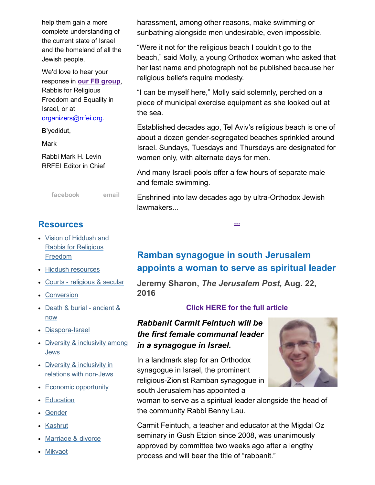help them gain a more complete understanding of the current state of Israel and the homeland of all the Jewish people.

We'd love to hear your response in our FB [group,](https://www.facebook.com/groups/132239560451232/) Rabbis for Religious Freedom and Equality in Israel, or at [organizers@rrfei.org.](mailto:organizers@rrfei.org)

B'yedidut,

Mark

Rabbi Mark H. Levin RRFEI Editor in Chief

[facebook](https://www.facebook.com/groups/132239560451232/) [email](mailto:organizers@rrfei.org)

### **Resources**

- Vision of Hiddush and Rabbis for [Religious](http://rrfei.org/resources/vision-of-hiddush-and-rabbis-for-religious-freedom/) Freedom
- Hiddush [resources](http://rrfei.org/resources/hiddush-resources/)
- Courts [religious](http://rrfei.org/resources/courts-religious-and-secular/) & secular
- [Conversion](http://rrfei.org/resources/conversion/)
- Death & burial [ancient](http://rrfei.org/resources/death-and-burial-ancient-and-now/) & now
- Diaspora-Israel
- Diversity & [inclusivity](http://rrfei.org/resources/diversity-and-inclusivity-among-jews/) among **Jews**
- Diversity & inclusivity in relations with non-Jews
- Economic [opportunity](http://rrfei.org/resources/economic-opportunity/)
- [Education](http://rrfei.org/resources/education/)
- [Gender](http://rrfei.org/resources/gender/)
- [Kashrut](http://rrfei.org/resources/kashrut/)
- [Marriage](http://rrfei.org/resources/marriage-divorce/) & divorce
- [Mikvaot](http://rrfei.org/resources/mikvaot/)

harassment, among other reasons, make swimming or sunbathing alongside men undesirable, even impossible.

"Were it not for the religious beach I couldn't go to the beach," said Molly, a young Orthodox woman who asked that her last name and photograph not be published because her religious beliefs require modesty.

"I can be myself here," Molly said solemnly, perched on a piece of municipal exercise equipment as she looked out at the sea.

Established decades ago, Tel Aviv's religious beach is one of about a dozen gender-segregated beaches sprinkled around Israel. Sundays, Tuesdays and Thursdays are designated for women only, with alternate days for men.

And many Israeli pools offer a few hours of separate male and female swimming.

Enshrined into law decades ago by ultra-Orthodox Jewish lawmakers...

[...](http://religionnews.com/2016/08/24/in-israel-women-only-beach-days-allow-the-religious-to-relax/)

# Ramban synagogue in south Jerusalem appoints a woman to serve as spiritual leader

Jeremy Sharon, *The Jerusalem Post,* Aug. 22, 2016

#### Click HERE for the full [article](http://www.jpost.com/Israel-News/Ramban-synagogue-in-south-Jerusalem-appoints-a-woman-to-serve-as-spiritual-leader-464775)

### *Rabbanit Carmit Feintuch will be the first female communal leader in a synagogue in Israel.*

In a landmark step for an Orthodox synagogue in Israel, the prominent religious-Zionist Ramban synagogue in south Jerusalem has appointed a



woman to serve as a spiritual leader alongside the head of the community Rabbi Benny Lau.

Carmit Feintuch, a teacher and educator at the Migdal Oz seminary in Gush Etzion since 2008, was unanimously approved by committee two weeks ago after a lengthy process and will bear the title of "rabbanit."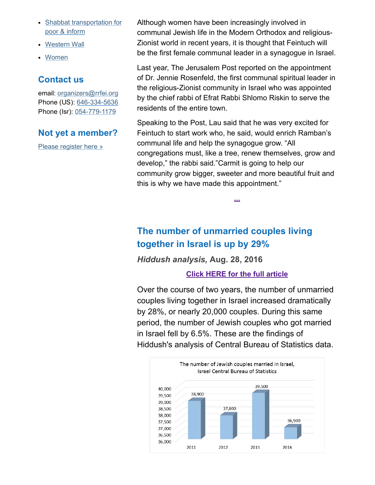- Shabbat [transportation](http://rrfei.org/resources/shabbat-transportation-for-poor-and-infirm/) for poor & inform
- [Western](http://rrfei.org/resources/western-wall/) Wall
- [Women](http://rrfei.org/resources/womens-status/)

## Contact us

email: [organizers@rrfei.org](mailto:organizers@rrfei.org) Phone (US): 646-334-5636 Phone (Isr): 054-779-1179

## Not yet a member?

Please [register](http://rrfei.org/about/registration/) here »

Although women have been increasingly involved in communal Jewish life in the Modern Orthodox and religious-Zionist world in recent years, it is thought that Feintuch will be the first female communal leader in a synagogue in Israel.

Last year, The Jerusalem Post reported on the appointment of Dr. Jennie Rosenfeld, the first communal spiritual leader in the religious-Zionist community in Israel who was appointed by the chief rabbi of Efrat Rabbi Shlomo Riskin to serve the residents of the entire town.

Speaking to the Post, Lau said that he was very excited for Feintuch to start work who, he said, would enrich Ramban's communal life and help the synagogue grow. "All congregations must, like a tree, renew themselves, grow and develop," the rabbi said."Carmit is going to help our community grow bigger, sweeter and more beautiful fruit and this is why we have made this appointment."

[...](http://www.jpost.com/Israel-News/Ramban-synagogue-in-south-Jerusalem-appoints-a-woman-to-serve-as-spiritual-leader-464775)

## The number of unmarried couples living together in Israel is up by 29%

*Hiddush analysis,* Aug. 28, 2016

### Click HERE for the full [article](http://hiddush.org/article-16960-0-The_number_of_unmarried_couples_living_together_up_by_29.aspx)

Over the course of two years, the number of unmarried couples living together in Israel increased dramatically by 28%, or nearly 20,000 couples. During this same period, the number of Jewish couples who got married in Israel fell by 6.5%. These are the findings of Hiddush's analysis of Central Bureau of Statistics data.